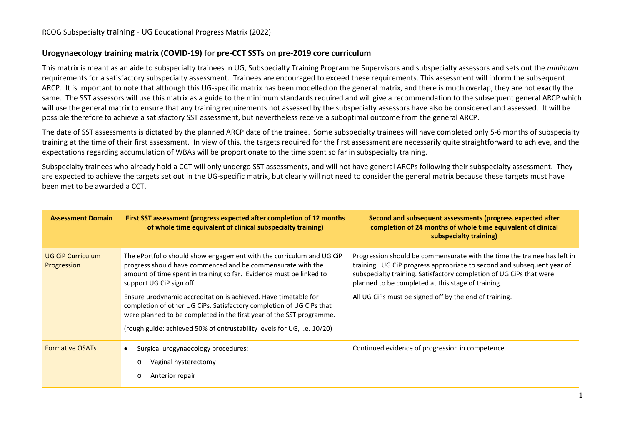## **Urogynaecology training matrix (COVID-19) for pre-CCT SSTs on pre-2019 core curriculum**

This matrix is meant as an aide to subspecialty trainees in UG, Subspecialty Training Programme Supervisors and subspecialty assessors and sets out the *minimum* requirements for a satisfactory subspecialty assessment. Trainees are encouraged to exceed these requirements. This assessment will inform the subsequent ARCP. It is important to note that although this UG-specific matrix has been modelled on the general matrix, and there is much overlap, they are not exactly the same. The SST assessors will use this matrix as a guide to the minimum standards required and will give a recommendation to the subsequent general ARCP which will use the general matrix to ensure that any training requirements not assessed by the subspecialty assessors have also be considered and assessed. It will be possible therefore to achieve a satisfactory SST assessment, but nevertheless receive a suboptimal outcome from the general ARCP.

The date of SST assessments is dictated by the planned ARCP date of the trainee. Some subspecialty trainees will have completed only 5-6 months of subspecialty training at the time of their first assessment. In view of this, the targets required for the first assessment are necessarily quite straightforward to achieve, and the expectations regarding accumulation of WBAs will be proportionate to the time spent so far in subspecialty training.

Subspecialty trainees who already hold a CCT will only undergo SST assessments, and will not have general ARCPs following their subspecialty assessment. They are expected to achieve the targets set out in the UG-specific matrix, but clearly will not need to consider the general matrix because these targets must have been met to be awarded a CCT.

| <b>Assessment Domain</b>                | First SST assessment (progress expected after completion of 12 months<br>of whole time equivalent of clinical subspecialty training)                                                                                                                                                       | Second and subsequent assessments (progress expected after<br>completion of 24 months of whole time equivalent of clinical<br>subspecialty training)                                                                                                                            |
|-----------------------------------------|--------------------------------------------------------------------------------------------------------------------------------------------------------------------------------------------------------------------------------------------------------------------------------------------|---------------------------------------------------------------------------------------------------------------------------------------------------------------------------------------------------------------------------------------------------------------------------------|
| <b>UG CiP Curriculum</b><br>Progression | The ePortfolio should show engagement with the curriculum and UG CiP<br>progress should have commenced and be commensurate with the<br>amount of time spent in training so far. Evidence must be linked to<br>support UG CiP sign off.                                                     | Progression should be commensurate with the time the trainee has left in<br>training. UG CiP progress appropriate to second and subsequent year of<br>subspecialty training. Satisfactory completion of UG CiPs that were<br>planned to be completed at this stage of training. |
|                                         | Ensure urodynamic accreditation is achieved. Have timetable for<br>completion of other UG CiPs. Satisfactory completion of UG CiPs that<br>were planned to be completed in the first year of the SST programme.<br>(rough guide: achieved 50% of entrustability levels for UG, i.e. 10/20) | All UG CiPs must be signed off by the end of training.                                                                                                                                                                                                                          |
| <b>Formative OSATs</b>                  | Surgical urogynaecology procedures:<br>Vaginal hysterectomy<br>$\circ$<br>Anterior repair<br>$\circ$                                                                                                                                                                                       | Continued evidence of progression in competence                                                                                                                                                                                                                                 |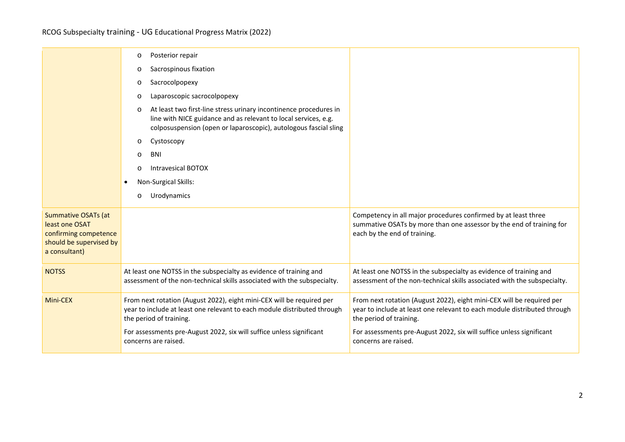|                                                                                                                   | Posterior repair<br>O                                                                                                                                                                                               |                                                                                                                                                                              |
|-------------------------------------------------------------------------------------------------------------------|---------------------------------------------------------------------------------------------------------------------------------------------------------------------------------------------------------------------|------------------------------------------------------------------------------------------------------------------------------------------------------------------------------|
|                                                                                                                   | Sacrospinous fixation<br>$\circ$                                                                                                                                                                                    |                                                                                                                                                                              |
|                                                                                                                   | Sacrocolpopexy<br>$\circ$                                                                                                                                                                                           |                                                                                                                                                                              |
|                                                                                                                   | Laparoscopic sacrocolpopexy<br>$\circ$                                                                                                                                                                              |                                                                                                                                                                              |
|                                                                                                                   | At least two first-line stress urinary incontinence procedures in<br>$\circ$<br>line with NICE guidance and as relevant to local services, e.g.<br>colposuspension (open or laparoscopic), autologous fascial sling |                                                                                                                                                                              |
|                                                                                                                   | Cystoscopy<br>$\circ$                                                                                                                                                                                               |                                                                                                                                                                              |
|                                                                                                                   | <b>BNI</b><br>$\Omega$                                                                                                                                                                                              |                                                                                                                                                                              |
|                                                                                                                   | <b>Intravesical BOTOX</b><br>$\Omega$                                                                                                                                                                               |                                                                                                                                                                              |
|                                                                                                                   | Non-Surgical Skills:                                                                                                                                                                                                |                                                                                                                                                                              |
|                                                                                                                   | Urodynamics<br>$\circ$                                                                                                                                                                                              |                                                                                                                                                                              |
| <b>Summative OSATs (at</b><br>least one OSAT<br>confirming competence<br>should be supervised by<br>a consultant) |                                                                                                                                                                                                                     | Competency in all major procedures confirmed by at least three<br>summative OSATs by more than one assessor by the end of training for<br>each by the end of training.       |
| <b>NOTSS</b>                                                                                                      | At least one NOTSS in the subspecialty as evidence of training and<br>assessment of the non-technical skills associated with the subspecialty.                                                                      | At least one NOTSS in the subspecialty as evidence of training and<br>assessment of the non-technical skills associated with the subspecialty.                               |
| Mini-CEX                                                                                                          | From next rotation (August 2022), eight mini-CEX will be required per<br>year to include at least one relevant to each module distributed through<br>the period of training.                                        | From next rotation (August 2022), eight mini-CEX will be required per<br>year to include at least one relevant to each module distributed through<br>the period of training. |
|                                                                                                                   | For assessments pre-August 2022, six will suffice unless significant<br>concerns are raised.                                                                                                                        | For assessments pre-August 2022, six will suffice unless significant<br>concerns are raised.                                                                                 |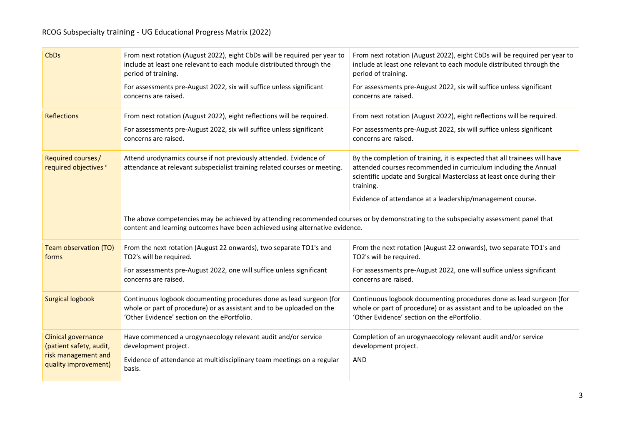| <b>CbDs</b>                                           | From next rotation (August 2022), eight CbDs will be required per year to<br>include at least one relevant to each module distributed through the<br>period of training.                                              | From next rotation (August 2022), eight CbDs will be required per year to<br>include at least one relevant to each module distributed through the<br>period of training.                                                           |  |
|-------------------------------------------------------|-----------------------------------------------------------------------------------------------------------------------------------------------------------------------------------------------------------------------|------------------------------------------------------------------------------------------------------------------------------------------------------------------------------------------------------------------------------------|--|
|                                                       | For assessments pre-August 2022, six will suffice unless significant<br>concerns are raised.                                                                                                                          | For assessments pre-August 2022, six will suffice unless significant<br>concerns are raised.                                                                                                                                       |  |
| <b>Reflections</b>                                    | From next rotation (August 2022), eight reflections will be required.                                                                                                                                                 | From next rotation (August 2022), eight reflections will be required.                                                                                                                                                              |  |
|                                                       | For assessments pre-August 2022, six will suffice unless significant<br>concerns are raised.                                                                                                                          | For assessments pre-August 2022, six will suffice unless significant<br>concerns are raised.                                                                                                                                       |  |
| Required courses/<br>required objectives <sup>c</sup> | Attend urodynamics course if not previously attended. Evidence of<br>attendance at relevant subspecialist training related courses or meeting.                                                                        | By the completion of training, it is expected that all trainees will have<br>attended courses recommended in curriculum including the Annual<br>scientific update and Surgical Masterclass at least once during their<br>training. |  |
|                                                       |                                                                                                                                                                                                                       | Evidence of attendance at a leadership/management course.                                                                                                                                                                          |  |
|                                                       | The above competencies may be achieved by attending recommended courses or by demonstrating to the subspecialty assessment panel that<br>content and learning outcomes have been achieved using alternative evidence. |                                                                                                                                                                                                                                    |  |
| Team observation (TO)<br>forms                        | From the next rotation (August 22 onwards), two separate TO1's and<br>TO2's will be required.                                                                                                                         | From the next rotation (August 22 onwards), two separate TO1's and<br>TO2's will be required.                                                                                                                                      |  |
|                                                       | For assessments pre-August 2022, one will suffice unless significant<br>concerns are raised.                                                                                                                          | For assessments pre-August 2022, one will suffice unless significant<br>concerns are raised.                                                                                                                                       |  |
| <b>Surgical logbook</b>                               | Continuous logbook documenting procedures done as lead surgeon (for<br>whole or part of procedure) or as assistant and to be uploaded on the<br>'Other Evidence' section on the ePortfolio.                           | Continuous logbook documenting procedures done as lead surgeon (for<br>whole or part of procedure) or as assistant and to be uploaded on the<br>'Other Evidence' section on the ePortfolio.                                        |  |
| Clinical governance<br>(patient safety, audit,        | Have commenced a urogynaecology relevant audit and/or service<br>development project.                                                                                                                                 | Completion of an urogynaecology relevant audit and/or service<br>development project.                                                                                                                                              |  |
| risk management and<br>quality improvement)           | Evidence of attendance at multidisciplinary team meetings on a regular<br>basis.                                                                                                                                      | <b>AND</b>                                                                                                                                                                                                                         |  |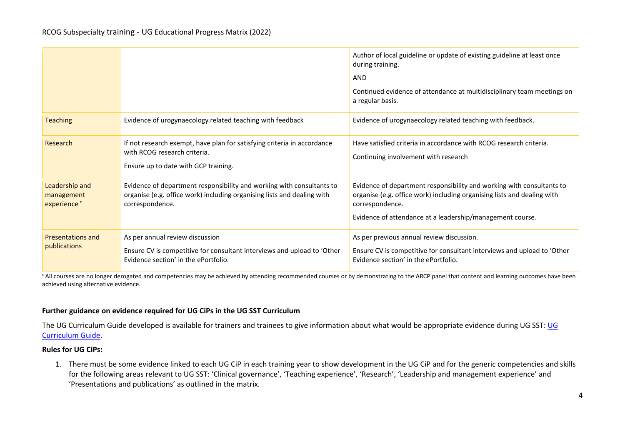|                                                         |                                                                                                                                                                     | Author of local guideline or update of existing guideline at least once<br>during training.<br><b>AND</b><br>Continued evidence of attendance at multidisciplinary team meetings on<br>a regular basis.                          |
|---------------------------------------------------------|---------------------------------------------------------------------------------------------------------------------------------------------------------------------|----------------------------------------------------------------------------------------------------------------------------------------------------------------------------------------------------------------------------------|
| <b>Teaching</b>                                         | Evidence of urogynaecology related teaching with feedback                                                                                                           | Evidence of urogynaecology related teaching with feedback.                                                                                                                                                                       |
| Research                                                | If not research exempt, have plan for satisfying criteria in accordance<br>with RCOG research criteria.<br>Ensure up to date with GCP training.                     | Have satisfied criteria in accordance with RCOG research criteria.<br>Continuing involvement with research                                                                                                                       |
| Leadership and<br>management<br>experience <sup>c</sup> | Evidence of department responsibility and working with consultants to<br>organise (e.g. office work) including organising lists and dealing with<br>correspondence. | Evidence of department responsibility and working with consultants to<br>organise (e.g. office work) including organising lists and dealing with<br>correspondence.<br>Evidence of attendance at a leadership/management course. |
| <b>Presentations and</b><br>publications                | As per annual review discussion<br>Ensure CV is competitive for consultant interviews and upload to 'Other<br>Evidence section' in the ePortfolio.                  | As per previous annual review discussion.<br>Ensure CV is competitive for consultant interviews and upload to 'Other<br>Evidence section' in the ePortfolio.                                                                     |

<sup>c</sup> All courses are no longer derogated and competencies may be achieved by attending recommended courses or by demonstrating to the ARCP panel that content and learning outcomes have been achieved using alternative evidence.

## **Further guidance on evidence required for UG CiPs in the UG SST Curriculum**

The [UG](https://elearning.rcog.org.uk/new-curriculum-2019-training-resource/curriculum-structure/advancedsubspecialty-1) Curriculum Guide developed is available for trainers and trainees to give information about what would be appropriate evidence during UG SST: UG [Curriculum](https://elearning.rcog.org.uk/new-curriculum-2019-training-resource/curriculum-structure/advancedsubspecialty-1) Guide.

## **Rules for UG CiPs:**

1. There must be some evidence linked to each UG CiP in each training year to show development in the UG CiP and for the generic competencies and skills for the following areas relevant to UG SST: 'Clinical governance', 'Teaching experience', 'Research', 'Leadership and management experience' and 'Presentations and publications' as outlined in the matrix.